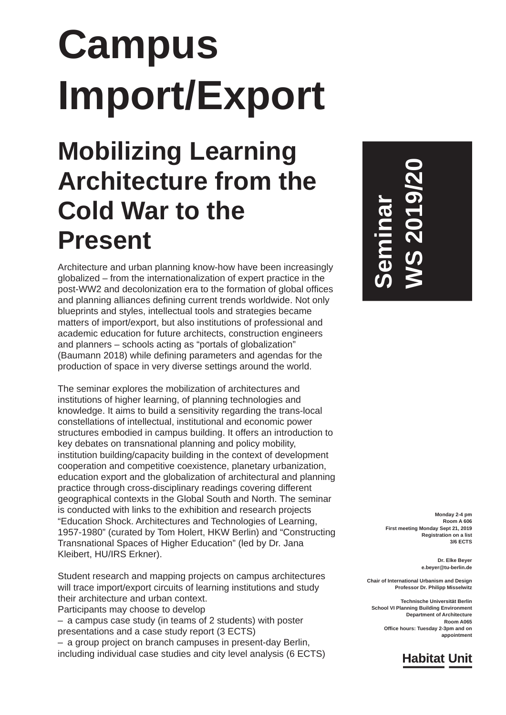# **Campus Import/Export**

### **Mobilizing Learning Architecture from the Cold War to the Present**

Architecture and urban planning know-how have been increasingly globalized – from the internationalization of expert practice in the post-WW2 and decolonization era to the formation of global offices and planning alliances defining current trends worldwide. Not only blueprints and styles, intellectual tools and strategies became matters of import/export, but also institutions of professional and academic education for future architects, construction engineers and planners – schools acting as "portals of globalization" (Baumann 2018) while defining parameters and agendas for the production of space in very diverse settings around the world.

The seminar explores the mobilization of architectures and institutions of higher learning, of planning technologies and knowledge. It aims to build a sensitivity regarding the trans-local constellations of intellectual, institutional and economic power structures embodied in campus building. It offers an introduction to key debates on transnational planning and policy mobility, institution building/capacity building in the context of development cooperation and competitive coexistence, planetary urbanization, education export and the globalization of architectural and planning practice through cross-disciplinary readings covering different geographical contexts in the Global South and North. The seminar is conducted with links to the exhibition and research projects "Education Shock. Architectures and Technologies of Learning, 1957-1980" (curated by Tom Holert, HKW Berlin) and "Constructing Transnational Spaces of Higher Education" (led by Dr. Jana Kleibert, HU/IRS Erkner).

Student research and mapping projects on campus architectures will trace import/export circuits of learning institutions and study their architecture and urban context. Participants may choose to develop

– a campus case study (in teams of 2 students) with poster presentations and a case study report (3 ECTS)

– a group project on branch campuses in present-day Berlin, including individual case studies and city level analysis (6 ECTS) **Seminar WS 2019/20**

> **Monday 2-4 pm Room A 606 First meeting Monday Sept 21, 2019 Registration on a list 3/6 ECTS**

> > **Dr. Elke Beyer e.beyer@tu-berlin.de**

**Chair of International Urbanism and Design Professor Dr. Philipp Misselwitz**

**Technische Universität Berlin School VI Planning Building Environment Department of Architecture Room A065 Office hours: Tuesday 2-3pm and on appointment**

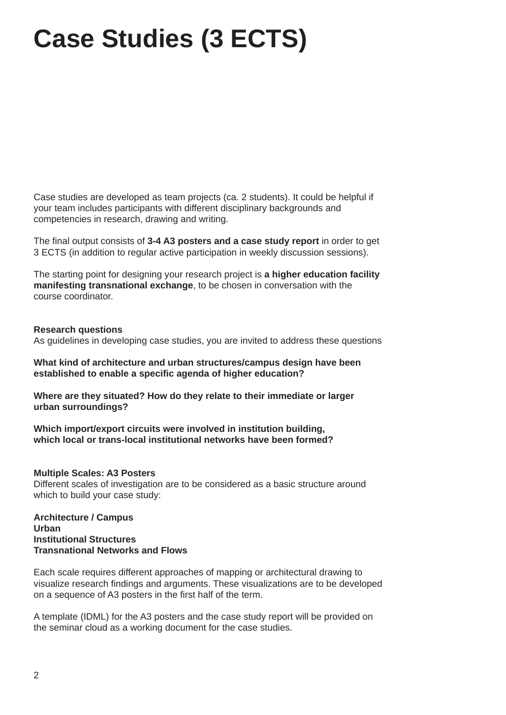## **Case Studies (3 ECTS)**

Case studies are developed as team projects (ca. 2 students). It could be helpful if your team includes participants with different disciplinary backgrounds and competencies in research, drawing and writing.

The final output consists of **3-4 A3 posters and a case study report** in order to get 3 ECTS (in addition to regular active participation in weekly discussion sessions).

The starting point for designing your research project is **a higher education facility manifesting transnational exchange**, to be chosen in conversation with the course coordinator.

#### **Research questions**

As guidelines in developing case studies, you are invited to address these questions

**What kind of architecture and urban structures/campus design have been established to enable a specific agenda of higher education?** 

**Where are they situated? How do they relate to their immediate or larger urban surroundings?**

**Which import/export circuits were involved in institution building, which local or trans-local institutional networks have been formed?** 

#### **Multiple Scales: A3 Posters**

Different scales of investigation are to be considered as a basic structure around which to build your case study:

**Architecture / Campus Urban Institutional Structures Transnational Networks and Flows**

Each scale requires different approaches of mapping or architectural drawing to visualize research findings and arguments. These visualizations are to be developed on a sequence of A3 posters in the first half of the term.

A template (IDML) for the A3 posters and the case study report will be provided on the seminar cloud as a working document for the case studies.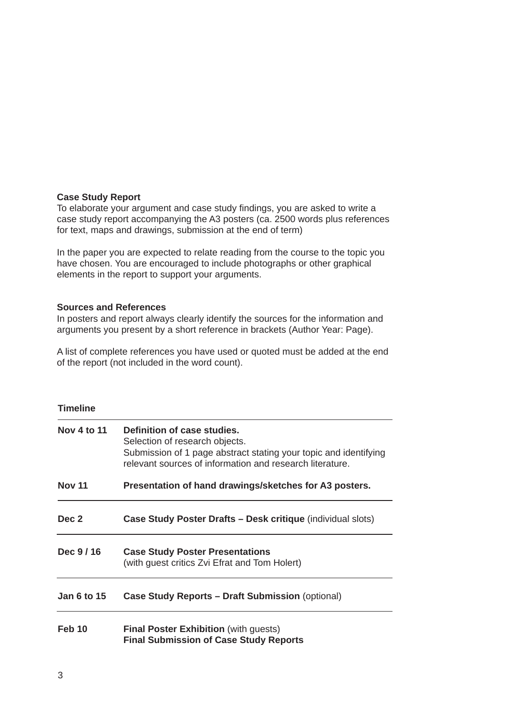#### **Case Study Report**

To elaborate your argument and case study findings, you are asked to write a case study report accompanying the A3 posters (ca. 2500 words plus references for text, maps and drawings, submission at the end of term)

In the paper you are expected to relate reading from the course to the topic you have chosen. You are encouraged to include photographs or other graphical elements in the report to support your arguments.

#### **Sources and References**

In posters and report always clearly identify the sources for the information and arguments you present by a short reference in brackets (Author Year: Page).

A list of complete references you have used or quoted must be added at the end of the report (not included in the word count).

#### **Timeline**

| Nov 4 to 11   | Definition of case studies.<br>Selection of research objects.<br>Submission of 1 page abstract stating your topic and identifying<br>relevant sources of information and research literature. |  |  |  |
|---------------|-----------------------------------------------------------------------------------------------------------------------------------------------------------------------------------------------|--|--|--|
| <b>Nov 11</b> | Presentation of hand drawings/sketches for A3 posters.                                                                                                                                        |  |  |  |
| Dec 2         | <b>Case Study Poster Drafts – Desk critique (individual slots)</b>                                                                                                                            |  |  |  |
| Dec 9/16      | <b>Case Study Poster Presentations</b><br>(with guest critics Zvi Efrat and Tom Holert)                                                                                                       |  |  |  |
| Jan 6 to 15   | <b>Case Study Reports – Draft Submission (optional)</b>                                                                                                                                       |  |  |  |
| <b>Feb 10</b> | <b>Final Poster Exhibition (with guests)</b><br><b>Final Submission of Case Study Reports</b>                                                                                                 |  |  |  |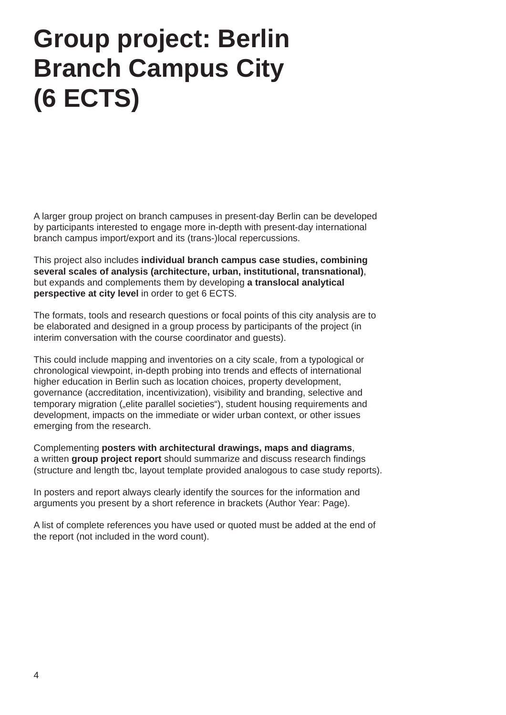### **Group project: Berlin Branch Campus City (6 ECTS)**

A larger group project on branch campuses in present-day Berlin can be developed by participants interested to engage more in-depth with present-day international branch campus import/export and its (trans-)local repercussions.

This project also includes **individual branch campus case studies, combining several scales of analysis (architecture, urban, institutional, transnational)**, but expands and complements them by developing **a translocal analytical perspective at city level** in order to get 6 ECTS.

The formats, tools and research questions or focal points of this city analysis are to be elaborated and designed in a group process by participants of the project (in interim conversation with the course coordinator and guests).

This could include mapping and inventories on a city scale, from a typological or chronological viewpoint, in-depth probing into trends and effects of international higher education in Berlin such as location choices, property development, governance (accreditation, incentivization), visibility and branding, selective and temporary migration ("elite parallel societies"), student housing requirements and development, impacts on the immediate or wider urban context, or other issues emerging from the research.

Complementing **posters with architectural drawings, maps and diagrams**, a written **group project report** should summarize and discuss research findings (structure and length tbc, layout template provided analogous to case study reports).

In posters and report always clearly identify the sources for the information and arguments you present by a short reference in brackets (Author Year: Page).

A list of complete references you have used or quoted must be added at the end of the report (not included in the word count).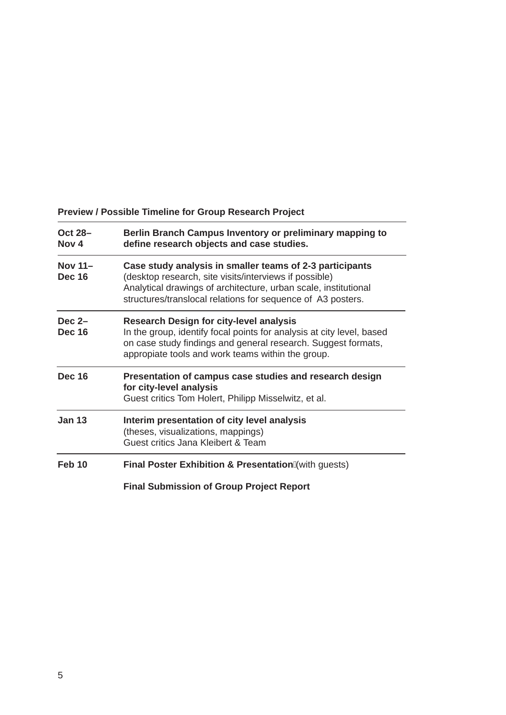### **Preview / Possible Timeline for Group Research Project**

| <b>Oct 28-</b><br>Nov <sub>4</sub> | Berlin Branch Campus Inventory or preliminary mapping to<br>define research objects and case studies.                                                                                                                                                |  |  |
|------------------------------------|------------------------------------------------------------------------------------------------------------------------------------------------------------------------------------------------------------------------------------------------------|--|--|
| Nov 11-<br><b>Dec 16</b>           | Case study analysis in smaller teams of 2-3 participants<br>(desktop research, site visits/interviews if possible)<br>Analytical drawings of architecture, urban scale, institutional<br>structures/translocal relations for sequence of A3 posters. |  |  |
| Dec $2-$<br><b>Dec 16</b>          | <b>Research Design for city-level analysis</b><br>In the group, identify focal points for analysis at city level, based<br>on case study findings and general research. Suggest formats,<br>appropiate tools and work teams within the group.        |  |  |
| <b>Dec 16</b>                      | Presentation of campus case studies and research design<br>for city-level analysis<br>Guest critics Tom Holert, Philipp Misselwitz, et al.                                                                                                           |  |  |
| <b>Jan 13</b>                      | Interim presentation of city level analysis<br>(theses, visualizations, mappings)<br>Guest critics Jana Kleibert & Team                                                                                                                              |  |  |
| $Feb$ 10                           | <b>Final Poster Exhibition &amp; Presentation (with guests)</b>                                                                                                                                                                                      |  |  |
|                                    | <b>Final Submission of Group Project Report</b>                                                                                                                                                                                                      |  |  |